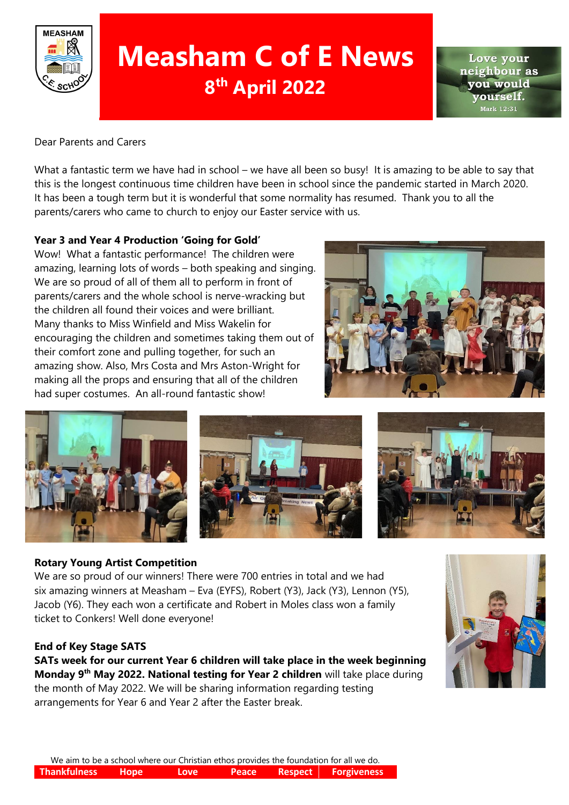

# **Measham C of E News 8 th April 2022**

Love vour neighbour as vou would ourself. Mark 12:31

### Dear Parents and Carers

What a fantastic term we have had in school – we have all been so busy! It is amazing to be able to say that this is the longest continuous time children have been in school since the pandemic started in March 2020. It has been a tough term but it is wonderful that some normality has resumed. Thank you to all the parents/carers who came to church to enjoy our Easter service with us.

### **Year 3 and Year 4 Production 'Going for Gold'**

Wow! What a fantastic performance! The children were amazing, learning lots of words – both speaking and singing. We are so proud of all of them all to perform in front of parents/carers and the whole school is nerve-wracking but the children all found their voices and were brilliant. Many thanks to Miss Winfield and Miss Wakelin for encouraging the children and sometimes taking them out of their comfort zone and pulling together, for such an amazing show. Also, Mrs Costa and Mrs Aston-Wright for making all the props and ensuring that all of the children had super costumes. An all-round fantastic show!





### **Rotary Young Artist Competition**

We are so proud of our winners! There were 700 entries in total and we had six amazing winners at Measham – Eva (EYFS), Robert (Y3), Jack (Y3), Lennon (Y5), Jacob (Y6). They each won a certificate and Robert in Moles class won a family ticket to Conkers! Well done everyone!

### **End of Key Stage SATS**

**SATs week for our current Year 6 children will take place in the week beginning Monday 9th May 2022. National testing for Year 2 children** will take place during the month of May 2022. We will be sharing information regarding testing arrangements for Year 6 and Year 2 after the Easter break.

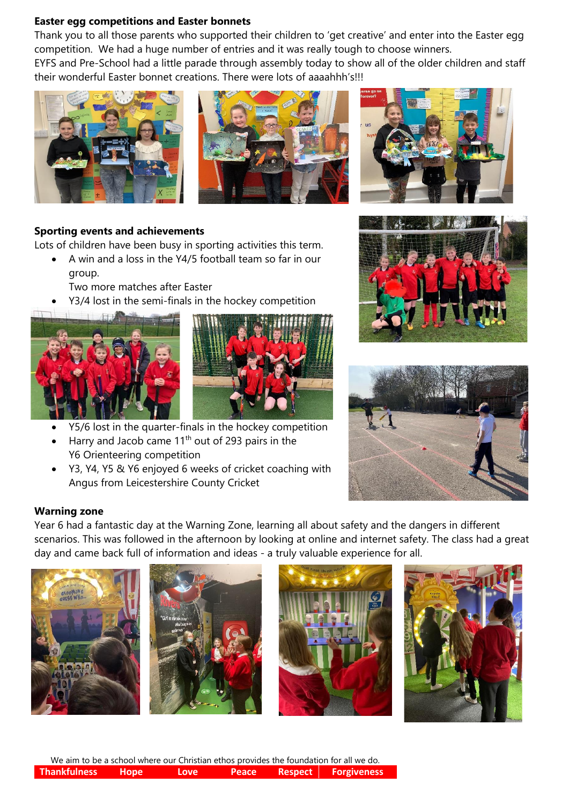#### **Easter egg competitions and Easter bonnets**

Thank you to all those parents who supported their children to 'get creative' and enter into the Easter egg competition. We had a huge number of entries and it was really tough to choose winners.

EYFS and Pre-School had a little parade through assembly today to show all of the older children and staff their wonderful Easter bonnet creations. There were lots of aaaahhh's!!!





## **Sporting events and achievements**

Lots of children have been busy in sporting activities this term.

- A win and a loss in the Y4/5 football team so far in our group.
	- Two more matches after Easter
- Y3/4 lost in the semi-finals in the hockey competition





- Y5/6 lost in the quarter-finals in the hockey competition
- Harry and Jacob came  $11<sup>th</sup>$  out of 293 pairs in the Y6 Orienteering competition
- Y3, Y4, Y5 & Y6 enjoyed 6 weeks of cricket coaching with Angus from Leicestershire County Cricket





### **Warning zone**

Year 6 had a fantastic day at the Warning Zone, learning all about safety and the dangers in different scenarios. This was followed in the afternoon by looking at online and internet safety. The class had a great day and came back full of information and ideas - a truly valuable experience for all.